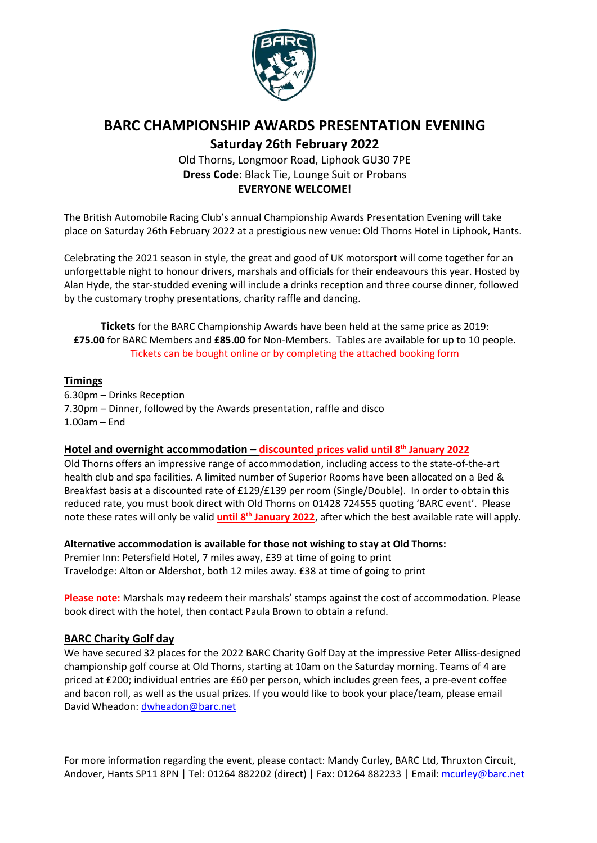

# **BARC CHAMPIONSHIP AWARDS PRESENTATION EVENING**

**Saturday 26th February 2022**

### Old Thorns, Longmoor Road, Liphook GU30 7PE **Dress Code**: Black Tie, Lounge Suit or Probans **EVERYONE WELCOME!**

The British Automobile Racing Club's annual Championship Awards Presentation Evening will take place on Saturday 26th February 2022 at a prestigious new venue: Old Thorns Hotel in Liphook, Hants.

Celebrating the 2021 season in style, the great and good of UK motorsport will come together for an unforgettable night to honour drivers, marshals and officials for their endeavours this year. Hosted by Alan Hyde, the star-studded evening will include a drinks reception and three course dinner, followed by the customary trophy presentations, charity raffle and dancing.

**Tickets** for the BARC Championship Awards have been held at the same price as 2019: **£75.00** for BARC Members and **£85.00** for Non-Members. Tables are available for up to 10 people. Tickets can be bought online or by completing the attached booking form

### **Timings**

6.30pm – Drinks Reception 7.30pm – Dinner, followed by the Awards presentation, raffle and disco 1.00am – End

#### **Hotel and overnight accommodation – discounted prices valid until 8th January 2022**

Old Thorns offers an impressive range of accommodation, including access to the state-of-the-art health club and spa facilities. A limited number of Superior Rooms have been allocated on a Bed & Breakfast basis at a discounted rate of £129/£139 per room (Single/Double). In order to obtain this reduced rate, you must book direct with Old Thorns on 01428 724555 quoting 'BARC event'. Please note these rates will only be valid **until 8th January 2022**, after which the best available rate will apply.

**Alternative accommodation is available for those not wishing to stay at Old Thorns:**  Premier Inn: Petersfield Hotel, 7 miles away, £39 at time of going to print Travelodge: Alton or Aldershot, both 12 miles away. £38 at time of going to print

**Please note:** Marshals may redeem their marshals' stamps against the cost of accommodation. Please book direct with the hotel, then contact Paula Brown to obtain a refund.

### **BARC Charity Golf day**

We have secured 32 places for the 2022 BARC Charity Golf Day at the impressive Peter Alliss-designed championship golf course at Old Thorns, starting at 10am on the Saturday morning. Teams of 4 are priced at £200; individual entries are £60 per person, which includes green fees, a pre-event coffee and bacon roll, as well as the usual prizes. If you would like to book your place/team, please email David Wheadon[: dwheadon@barc.net](mailto:dwheadon@barc.net)

For more information regarding the event, please contact: Mandy Curley, BARC Ltd, Thruxton Circuit, Andover, Hants SP11 8PN | Tel: 01264 882202 (direct) | Fax: 01264 882233 | Email: [mcurley@barc.net](mailto:mcurley@barc.net)